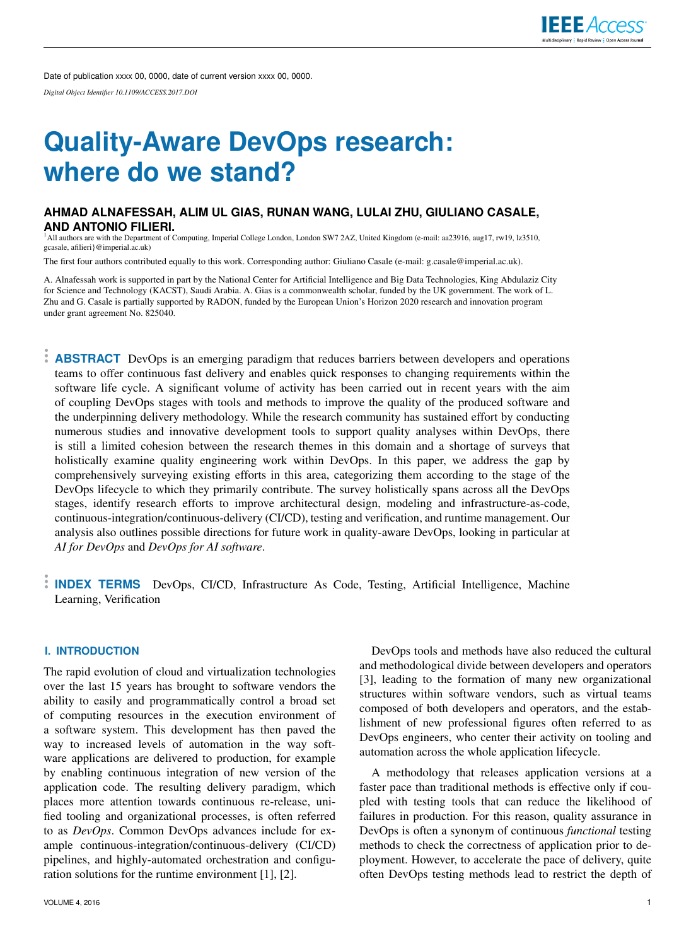Date of publication xxxx 00, 0000, date of current version xxxx 00, 0000. *Digital Object Identifier 10.1109/ACCESS.2017.DOI*

# **Quality-Aware DevOps research: where do we stand?**

## **AHMAD ALNAFESSAH, ALIM UL GIAS, RUNAN WANG, LULAI ZHU, GIULIANO CASALE, AND ANTONIO FILIERI.**

<sup>1</sup>All authors are with the Department of Computing, Imperial College London, London SW7 2AZ, United Kingdom (e-mail: aa23916, aug17, rw19, lz3510, gcasale, afilieri}@imperial.ac.uk)

The first four authors contributed equally to this work. Corresponding author: Giuliano Casale (e-mail: g.casale@imperial.ac.uk).

A. Alnafessah work is supported in part by the National Center for Artificial Intelligence and Big Data Technologies, King Abdulaziz City for Science and Technology (KACST), Saudi Arabia. A. Gias is a commonwealth scholar, funded by the UK government. The work of L. Zhu and G. Casale is partially supported by RADON, funded by the European Union's Horizon 2020 research and innovation program under grant agreement No. 825040.

**ABSTRACT** DevOps is an emerging paradigm that reduces barriers between developers and operations teams to offer continuous fast delivery and enables quick responses to changing requirements within the software life cycle. A significant volume of activity has been carried out in recent years with the aim of coupling DevOps stages with tools and methods to improve the quality of the produced software and the underpinning delivery methodology. While the research community has sustained effort by conducting numerous studies and innovative development tools to support quality analyses within DevOps, there is still a limited cohesion between the research themes in this domain and a shortage of surveys that holistically examine quality engineering work within DevOps. In this paper, we address the gap by comprehensively surveying existing efforts in this area, categorizing them according to the stage of the DevOps lifecycle to which they primarily contribute. The survey holistically spans across all the DevOps stages, identify research efforts to improve architectural design, modeling and infrastructure-as-code, continuous-integration/continuous-delivery (CI/CD), testing and verification, and runtime management. Our analysis also outlines possible directions for future work in quality-aware DevOps, looking in particular at *AI for DevOps* and *DevOps for AI software*.

**INDEX TERMS** DevOps, CI/CD, Infrastructure As Code, Testing, Artificial Intelligence, Machine Learning, Verification

## **I. INTRODUCTION**

The rapid evolution of cloud and virtualization technologies over the last 15 years has brought to software vendors the ability to easily and programmatically control a broad set of computing resources in the execution environment of a software system. This development has then paved the way to increased levels of automation in the way software applications are delivered to production, for example by enabling continuous integration of new version of the application code. The resulting delivery paradigm, which places more attention towards continuous re-release, unified tooling and organizational processes, is often referred to as *DevOps*. Common DevOps advances include for example continuous-integration/continuous-delivery (CI/CD) pipelines, and highly-automated orchestration and configuration solutions for the runtime environment [1], [2].

VOLUME 4, 2016 1

DevOps tools and methods have also reduced the cultural and methodological divide between developers and operators [3], leading to the formation of many new organizational structures within software vendors, such as virtual teams composed of both developers and operators, and the establishment of new professional figures often referred to as DevOps engineers, who center their activity on tooling and automation across the whole application lifecycle.

A methodology that releases application versions at a faster pace than traditional methods is effective only if coupled with testing tools that can reduce the likelihood of failures in production. For this reason, quality assurance in DevOps is often a synonym of continuous *functional* testing methods to check the correctness of application prior to deployment. However, to accelerate the pace of delivery, quite often DevOps testing methods lead to restrict the depth of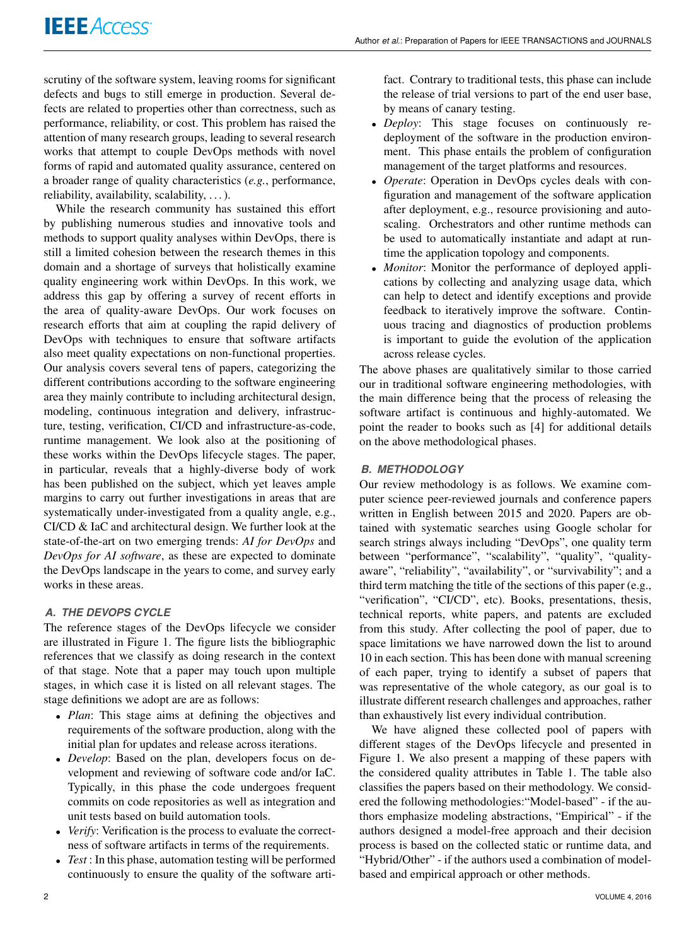scrutiny of the software system, leaving rooms for significant defects and bugs to still emerge in production. Several defects are related to properties other than correctness, such as performance, reliability, or cost. This problem has raised the attention of many research groups, leading to several research works that attempt to couple DevOps methods with novel forms of rapid and automated quality assurance, centered on a broader range of quality characteristics (*e.g.*, performance, reliability, availability, scalability, . . . ).

While the research community has sustained this effort by publishing numerous studies and innovative tools and methods to support quality analyses within DevOps, there is still a limited cohesion between the research themes in this domain and a shortage of surveys that holistically examine quality engineering work within DevOps. In this work, we address this gap by offering a survey of recent efforts in the area of quality-aware DevOps. Our work focuses on research efforts that aim at coupling the rapid delivery of DevOps with techniques to ensure that software artifacts also meet quality expectations on non-functional properties. Our analysis covers several tens of papers, categorizing the different contributions according to the software engineering area they mainly contribute to including architectural design, modeling, continuous integration and delivery, infrastructure, testing, verification, CI/CD and infrastructure-as-code, runtime management. We look also at the positioning of these works within the DevOps lifecycle stages. The paper, in particular, reveals that a highly-diverse body of work has been published on the subject, which yet leaves ample margins to carry out further investigations in areas that are systematically under-investigated from a quality angle, e.g., CI/CD & IaC and architectural design. We further look at the state-of-the-art on two emerging trends: *AI for DevOps* and *DevOps for AI software*, as these are expected to dominate the DevOps landscape in the years to come, and survey early works in these areas.

# *A. THE DEVOPS CYCLE*

The reference stages of the DevOps lifecycle we consider are illustrated in Figure 1. The figure lists the bibliographic references that we classify as doing research in the context of that stage. Note that a paper may touch upon multiple stages, in which case it is listed on all relevant stages. The stage definitions we adopt are are as follows:

- *Plan*: This stage aims at defining the objectives and requirements of the software production, along with the initial plan for updates and release across iterations.
- *Develop*: Based on the plan, developers focus on development and reviewing of software code and/or IaC. Typically, in this phase the code undergoes frequent commits on code repositories as well as integration and unit tests based on build automation tools.
- *Verify*: Verification is the process to evaluate the correctness of software artifacts in terms of the requirements.
- *Test* : In this phase, automation testing will be performed continuously to ensure the quality of the software arti-

fact. Contrary to traditional tests, this phase can include the release of trial versions to part of the end user base, by means of canary testing.

- *Deploy*: This stage focuses on continuously redeployment of the software in the production environment. This phase entails the problem of configuration management of the target platforms and resources.
- *Operate*: Operation in DevOps cycles deals with configuration and management of the software application after deployment, e.g., resource provisioning and autoscaling. Orchestrators and other runtime methods can be used to automatically instantiate and adapt at runtime the application topology and components.
- *Monitor*: Monitor the performance of deployed applications by collecting and analyzing usage data, which can help to detect and identify exceptions and provide feedback to iteratively improve the software. Continuous tracing and diagnostics of production problems is important to guide the evolution of the application across release cycles.

The above phases are qualitatively similar to those carried our in traditional software engineering methodologies, with the main difference being that the process of releasing the software artifact is continuous and highly-automated. We point the reader to books such as [4] for additional details on the above methodological phases.

## *B. METHODOLOGY*

Our review methodology is as follows. We examine computer science peer-reviewed journals and conference papers written in English between 2015 and 2020. Papers are obtained with systematic searches using Google scholar for search strings always including "DevOps", one quality term between "performance", "scalability", "quality", "qualityaware", "reliability", "availability", or "survivability"; and a third term matching the title of the sections of this paper (e.g., "verification", "CI/CD", etc). Books, presentations, thesis, technical reports, white papers, and patents are excluded from this study. After collecting the pool of paper, due to space limitations we have narrowed down the list to around 10 in each section. This has been done with manual screening of each paper, trying to identify a subset of papers that was representative of the whole category, as our goal is to illustrate different research challenges and approaches, rather than exhaustively list every individual contribution.

We have aligned these collected pool of papers with different stages of the DevOps lifecycle and presented in Figure 1. We also present a mapping of these papers with the considered quality attributes in Table 1. The table also classifies the papers based on their methodology. We considered the following methodologies:"Model-based" - if the authors emphasize modeling abstractions, "Empirical" - if the authors designed a model-free approach and their decision process is based on the collected static or runtime data, and "Hybrid/Other" - if the authors used a combination of modelbased and empirical approach or other methods.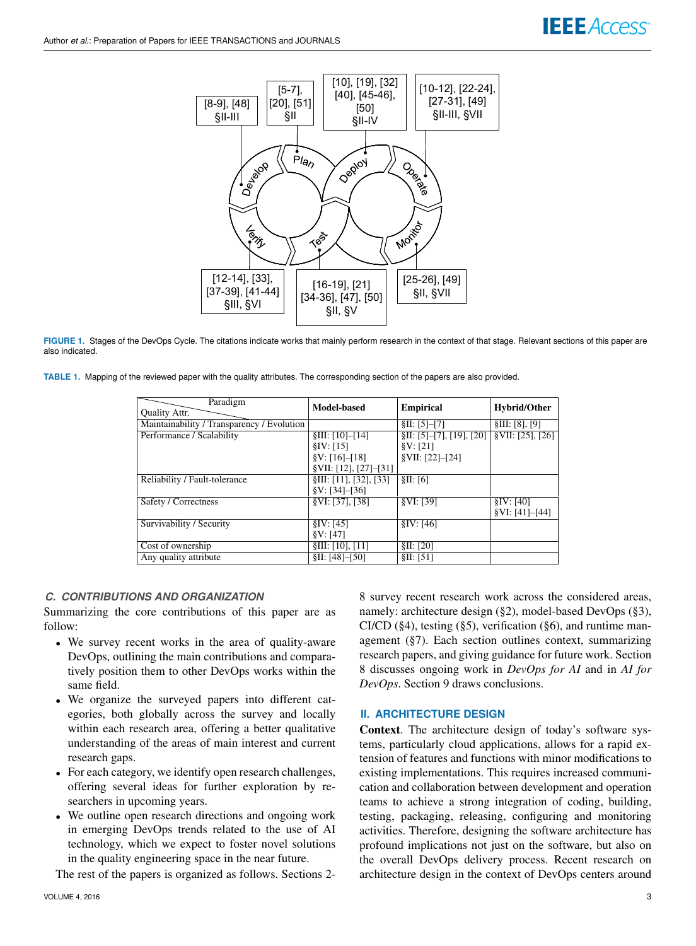

FIGURE 1. Stages of the DevOps Cycle. The citations indicate works that mainly perform research in the context of that stage. Relevant sections of this paper are also indicated.

|  |  | TABLE 1. Mapping of the reviewed paper with the quality attributes. The corresponding section of the papers are also provided. |  |  |
|--|--|--------------------------------------------------------------------------------------------------------------------------------|--|--|
|  |  |                                                                                                                                |  |  |
|  |  |                                                                                                                                |  |  |

| Paradigm<br><b>Quality Attr.</b>           | <b>Model-based</b>            | <b>Empirical</b>             | Hybrid/Other                         |
|--------------------------------------------|-------------------------------|------------------------------|--------------------------------------|
| Maintainability / Transparency / Evolution |                               | \$II: [5]–[7]                | \$III: [8], [9]                      |
| Performance / Scalability                  | \$III: [10]–[14]              | $\S II: [5]–[7], [19], [20]$ | $\overline{\text{SVII}: [25], [26]}$ |
|                                            | $\S IV: [15]$                 | $\frac{8}{3}V$ : [21]        |                                      |
|                                            | $\frac{8}{3}V$ : [16]-[18]    | \$VII: [22]–[24]             |                                      |
|                                            | $\text{VII}: [12], [27]–[31]$ |                              |                                      |
| Reliability / Fault-tolerance              | \$III: [11], [32], [33]       | \$II: [6]                    |                                      |
|                                            | $\frac{8}{3}V$ : [34]-[36]    |                              |                                      |
| Safety / Correctness                       | §VI: [37], [38]               | §VI: [39]                    | $\S IV: 1401$                        |
|                                            |                               |                              | $\Psi$ I: [41]–[44]                  |
| Survivability / Security                   | $\S IV: [45]$                 | $\S IV: 1461$                |                                      |
|                                            | $\frac{8}{3}V$ : [47]         |                              |                                      |
| Cost of ownership                          | \$III: [10], [11]             | \$II: [20]                   |                                      |
| Any quality attribute                      | \$II: [48]–[50]               | \$II: [51]                   |                                      |

## *C. CONTRIBUTIONS AND ORGANIZATION*

Summarizing the core contributions of this paper are as follow:

- We survey recent works in the area of quality-aware DevOps, outlining the main contributions and comparatively position them to other DevOps works within the same field.
- We organize the surveyed papers into different categories, both globally across the survey and locally within each research area, offering a better qualitative understanding of the areas of main interest and current research gaps.
- For each category, we identify open research challenges, offering several ideas for further exploration by researchers in upcoming years.
- We outline open research directions and ongoing work in emerging DevOps trends related to the use of AI technology, which we expect to foster novel solutions in the quality engineering space in the near future.

The rest of the papers is organized as follows. Sections 2-

8 survey recent research work across the considered areas, namely: architecture design (§2), model-based DevOps (§3), CI/CD  $(\S4)$ , testing  $(\S5)$ , verification  $(\S6)$ , and runtime management (§7). Each section outlines context, summarizing research papers, and giving guidance for future work. Section 8 discusses ongoing work in *DevOps for AI* and in *AI for DevOps*. Section 9 draws conclusions.

**IEEE** Access®

## **II. ARCHITECTURE DESIGN**

Context. The architecture design of today's software systems, particularly cloud applications, allows for a rapid extension of features and functions with minor modifications to existing implementations. This requires increased communication and collaboration between development and operation teams to achieve a strong integration of coding, building, testing, packaging, releasing, configuring and monitoring activities. Therefore, designing the software architecture has profound implications not just on the software, but also on the overall DevOps delivery process. Recent research on architecture design in the context of DevOps centers around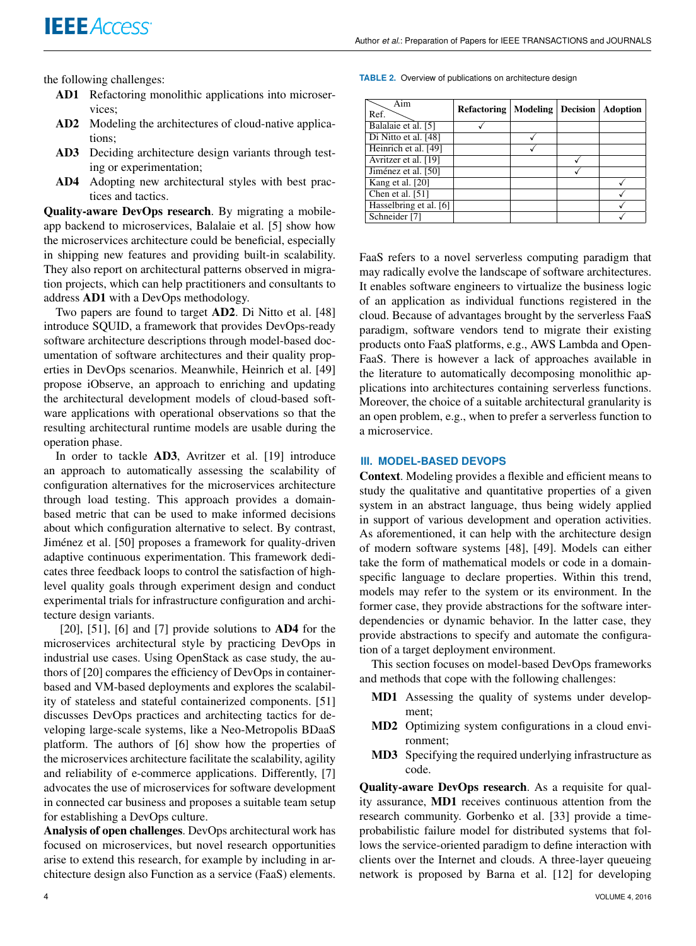the following challenges:

- AD1 Refactoring monolithic applications into microservices;
- AD2 Modeling the architectures of cloud-native applications;
- AD3 Deciding architecture design variants through testing or experimentation;
- AD4 Adopting new architectural styles with best practices and tactics.

Quality-aware DevOps research. By migrating a mobileapp backend to microservices, Balalaie et al. [5] show how the microservices architecture could be beneficial, especially in shipping new features and providing built-in scalability. They also report on architectural patterns observed in migration projects, which can help practitioners and consultants to address AD1 with a DevOps methodology.

Two papers are found to target AD2. Di Nitto et al. [48] introduce SQUID, a framework that provides DevOps-ready software architecture descriptions through model-based documentation of software architectures and their quality properties in DevOps scenarios. Meanwhile, Heinrich et al. [49] propose iObserve, an approach to enriching and updating the architectural development models of cloud-based software applications with operational observations so that the resulting architectural runtime models are usable during the operation phase.

In order to tackle AD3, Avritzer et al. [19] introduce an approach to automatically assessing the scalability of configuration alternatives for the microservices architecture through load testing. This approach provides a domainbased metric that can be used to make informed decisions about which configuration alternative to select. By contrast, Jiménez et al. [50] proposes a framework for quality-driven adaptive continuous experimentation. This framework dedicates three feedback loops to control the satisfaction of highlevel quality goals through experiment design and conduct experimental trials for infrastructure configuration and architecture design variants.

 $[20]$ ,  $[51]$ ,  $[6]$  and  $[7]$  provide solutions to  $AD4$  for the microservices architectural style by practicing DevOps in industrial use cases. Using OpenStack as case study, the authors of [20] compares the efficiency of DevOps in containerbased and VM-based deployments and explores the scalability of stateless and stateful containerized components. [51] discusses DevOps practices and architecting tactics for developing large-scale systems, like a Neo-Metropolis BDaaS platform. The authors of [6] show how the properties of the microservices architecture facilitate the scalability, agility and reliability of e-commerce applications. Differently, [7] advocates the use of microservices for software development in connected car business and proposes a suitable team setup for establishing a DevOps culture.

Analysis of open challenges. DevOps architectural work has focused on microservices, but novel research opportunities arise to extend this research, for example by including in architecture design also Function as a service (FaaS) elements.

**TABLE 2.** Overview of publications on architecture design

| Aim<br>Ref.            | <b>Refactoring   Modeling   Decision</b> |  | <b>Adoption</b> |
|------------------------|------------------------------------------|--|-----------------|
| Balalaie et al. [5]    |                                          |  |                 |
| Di Nitto et al. [48]   |                                          |  |                 |
| Heinrich et al. [49]   |                                          |  |                 |
| Avritzer et al. [19]   |                                          |  |                 |
| Jiménez et al. [50]    |                                          |  |                 |
| Kang et al. [20]       |                                          |  |                 |
| Chen et al. [51]       |                                          |  |                 |
| Hasselbring et al. [6] |                                          |  |                 |
| Schneider [7]          |                                          |  |                 |

FaaS refers to a novel serverless computing paradigm that may radically evolve the landscape of software architectures. It enables software engineers to virtualize the business logic of an application as individual functions registered in the cloud. Because of advantages brought by the serverless FaaS paradigm, software vendors tend to migrate their existing products onto FaaS platforms, e.g., AWS Lambda and Open-FaaS. There is however a lack of approaches available in the literature to automatically decomposing monolithic applications into architectures containing serverless functions. Moreover, the choice of a suitable architectural granularity is an open problem, e.g., when to prefer a serverless function to a microservice.

### **III. MODEL-BASED DEVOPS**

Context. Modeling provides a flexible and efficient means to study the qualitative and quantitative properties of a given system in an abstract language, thus being widely applied in support of various development and operation activities. As aforementioned, it can help with the architecture design of modern software systems [48], [49]. Models can either take the form of mathematical models or code in a domainspecific language to declare properties. Within this trend, models may refer to the system or its environment. In the former case, they provide abstractions for the software interdependencies or dynamic behavior. In the latter case, they provide abstractions to specify and automate the configuration of a target deployment environment.

This section focuses on model-based DevOps frameworks and methods that cope with the following challenges:

- MD1 Assessing the quality of systems under development;
- MD2 Optimizing system configurations in a cloud environment;
- MD3 Specifying the required underlying infrastructure as code.

Quality-aware DevOps research. As a requisite for quality assurance, MD1 receives continuous attention from the research community. Gorbenko et al. [33] provide a timeprobabilistic failure model for distributed systems that follows the service-oriented paradigm to define interaction with clients over the Internet and clouds. A three-layer queueing network is proposed by Barna et al. [12] for developing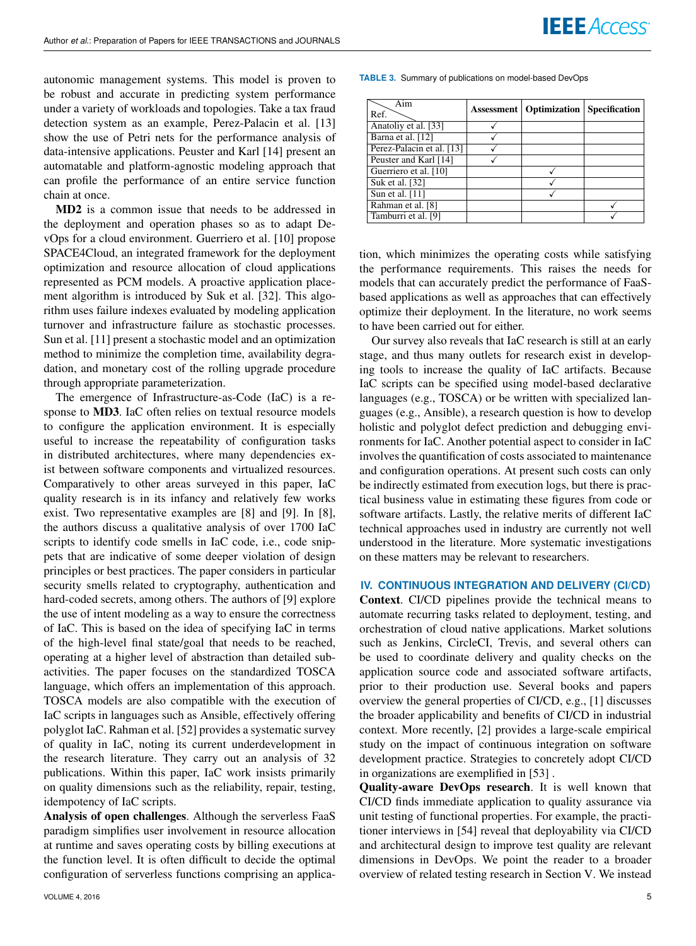autonomic management systems. This model is proven to be robust and accurate in predicting system performance under a variety of workloads and topologies. Take a tax fraud detection system as an example, Perez-Palacin et al. [13] show the use of Petri nets for the performance analysis of data-intensive applications. Peuster and Karl [14] present an automatable and platform-agnostic modeling approach that can profile the performance of an entire service function chain at once.

MD2 is a common issue that needs to be addressed in the deployment and operation phases so as to adapt DevOps for a cloud environment. Guerriero et al. [10] propose SPACE4Cloud, an integrated framework for the deployment optimization and resource allocation of cloud applications represented as PCM models. A proactive application placement algorithm is introduced by Suk et al. [32]. This algorithm uses failure indexes evaluated by modeling application turnover and infrastructure failure as stochastic processes. Sun et al. [11] present a stochastic model and an optimization method to minimize the completion time, availability degradation, and monetary cost of the rolling upgrade procedure through appropriate parameterization.

The emergence of Infrastructure-as-Code (IaC) is a response to MD3. IaC often relies on textual resource models to configure the application environment. It is especially useful to increase the repeatability of configuration tasks in distributed architectures, where many dependencies exist between software components and virtualized resources. Comparatively to other areas surveyed in this paper, IaC quality research is in its infancy and relatively few works exist. Two representative examples are [8] and [9]. In [8], the authors discuss a qualitative analysis of over 1700 IaC scripts to identify code smells in IaC code, i.e., code snippets that are indicative of some deeper violation of design principles or best practices. The paper considers in particular security smells related to cryptography, authentication and hard-coded secrets, among others. The authors of [9] explore the use of intent modeling as a way to ensure the correctness of IaC. This is based on the idea of specifying IaC in terms of the high-level final state/goal that needs to be reached, operating at a higher level of abstraction than detailed subactivities. The paper focuses on the standardized TOSCA language, which offers an implementation of this approach. TOSCA models are also compatible with the execution of IaC scripts in languages such as Ansible, effectively offering polyglot IaC. Rahman et al. [52] provides a systematic survey of quality in IaC, noting its current underdevelopment in the research literature. They carry out an analysis of 32 publications. Within this paper, IaC work insists primarily on quality dimensions such as the reliability, repair, testing, idempotency of IaC scripts.

Analysis of open challenges. Although the serverless FaaS paradigm simplifies user involvement in resource allocation at runtime and saves operating costs by billing executions at the function level. It is often difficult to decide the optimal configuration of serverless functions comprising an applica**TABLE 3.** Summary of publications on model-based DevOps

| Aim<br>Ref.               | <b>Assessment</b>   Optimization   Specification |  |
|---------------------------|--------------------------------------------------|--|
| Anatoliy et al. [33]      |                                                  |  |
| Barna et al. [12]         |                                                  |  |
| Perez-Palacin et al. [13] |                                                  |  |
| Peuster and Karl [14]     |                                                  |  |
| Guerriero et al. [10]     |                                                  |  |
| Suk et al. [32]           |                                                  |  |
| Sun et al. [11]           |                                                  |  |
| Rahman et al. [8]         |                                                  |  |
| Tamburri et al. [9]       |                                                  |  |

tion, which minimizes the operating costs while satisfying the performance requirements. This raises the needs for models that can accurately predict the performance of FaaSbased applications as well as approaches that can effectively optimize their deployment. In the literature, no work seems to have been carried out for either.

Our survey also reveals that IaC research is still at an early stage, and thus many outlets for research exist in developing tools to increase the quality of IaC artifacts. Because IaC scripts can be specified using model-based declarative languages (e.g., TOSCA) or be written with specialized languages (e.g., Ansible), a research question is how to develop holistic and polyglot defect prediction and debugging environments for IaC. Another potential aspect to consider in IaC involves the quantification of costs associated to maintenance and configuration operations. At present such costs can only be indirectly estimated from execution logs, but there is practical business value in estimating these figures from code or software artifacts. Lastly, the relative merits of different IaC technical approaches used in industry are currently not well understood in the literature. More systematic investigations on these matters may be relevant to researchers.

## **IV. CONTINUOUS INTEGRATION AND DELIVERY (CI/CD)**

Context. CI/CD pipelines provide the technical means to automate recurring tasks related to deployment, testing, and orchestration of cloud native applications. Market solutions such as Jenkins, CircleCI, Trevis, and several others can be used to coordinate delivery and quality checks on the application source code and associated software artifacts, prior to their production use. Several books and papers overview the general properties of CI/CD, e.g., [1] discusses the broader applicability and benefits of CI/CD in industrial context. More recently, [2] provides a large-scale empirical study on the impact of continuous integration on software development practice. Strategies to concretely adopt CI/CD in organizations are exemplified in [53] .

Quality-aware DevOps research. It is well known that CI/CD finds immediate application to quality assurance via unit testing of functional properties. For example, the practitioner interviews in [54] reveal that deployability via CI/CD and architectural design to improve test quality are relevant dimensions in DevOps. We point the reader to a broader overview of related testing research in Section V. We instead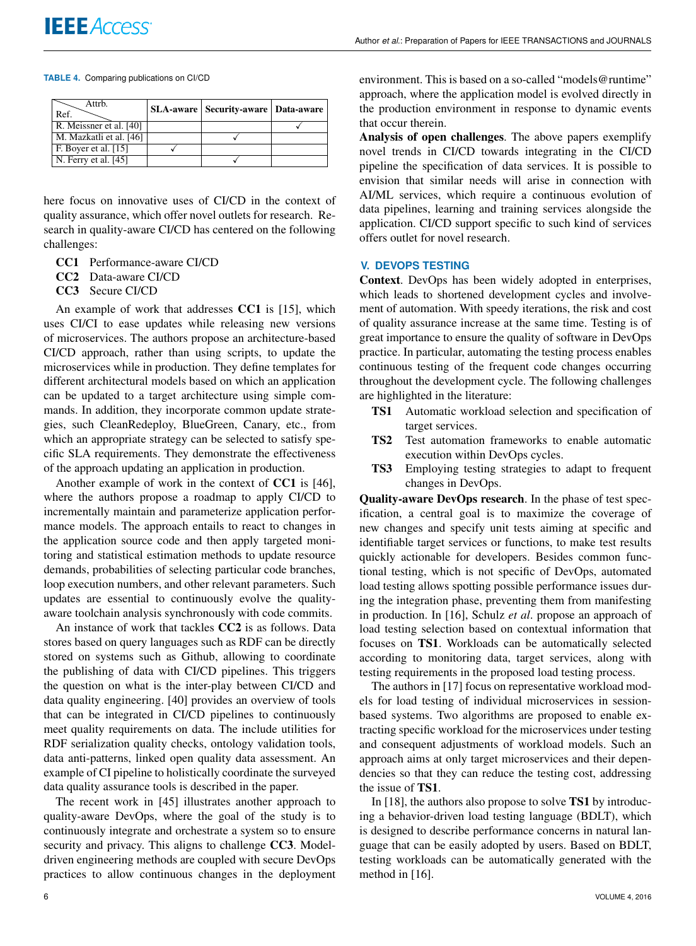#### **TABLE 4.** Comparing publications on CI/CD

| Attrb.<br>Ref.                             | <b>SLA-aware   Security-aware   Data-aware</b> |  |
|--------------------------------------------|------------------------------------------------|--|
| R. Meissner et al. [40]                    |                                                |  |
| M. Mazkatli et al. [46]                    |                                                |  |
| F. Boyer et al. [15]                       |                                                |  |
| $\vert$ N. Ferry et al. $\vert$ 45 $\vert$ |                                                |  |

here focus on innovative uses of CI/CD in the context of quality assurance, which offer novel outlets for research. Research in quality-aware CI/CD has centered on the following challenges:

- CC1 Performance-aware CI/CD
- CC2 Data-aware CI/CD
- CC3 Secure CI/CD

An example of work that addresses CC1 is [15], which uses CI/CI to ease updates while releasing new versions of microservices. The authors propose an architecture-based CI/CD approach, rather than using scripts, to update the microservices while in production. They define templates for different architectural models based on which an application can be updated to a target architecture using simple commands. In addition, they incorporate common update strategies, such CleanRedeploy, BlueGreen, Canary, etc., from which an appropriate strategy can be selected to satisfy specific SLA requirements. They demonstrate the effectiveness of the approach updating an application in production.

Another example of work in the context of CC1 is [46], where the authors propose a roadmap to apply CI/CD to incrementally maintain and parameterize application performance models. The approach entails to react to changes in the application source code and then apply targeted monitoring and statistical estimation methods to update resource demands, probabilities of selecting particular code branches, loop execution numbers, and other relevant parameters. Such updates are essential to continuously evolve the qualityaware toolchain analysis synchronously with code commits.

An instance of work that tackles CC2 is as follows. Data stores based on query languages such as RDF can be directly stored on systems such as Github, allowing to coordinate the publishing of data with CI/CD pipelines. This triggers the question on what is the inter-play between CI/CD and data quality engineering. [40] provides an overview of tools that can be integrated in CI/CD pipelines to continuously meet quality requirements on data. The include utilities for RDF serialization quality checks, ontology validation tools, data anti-patterns, linked open quality data assessment. An example of CI pipeline to holistically coordinate the surveyed data quality assurance tools is described in the paper.

The recent work in [45] illustrates another approach to quality-aware DevOps, where the goal of the study is to continuously integrate and orchestrate a system so to ensure security and privacy. This aligns to challenge CC3. Modeldriven engineering methods are coupled with secure DevOps practices to allow continuous changes in the deployment environment. This is based on a so-called "models@runtime" approach, where the application model is evolved directly in the production environment in response to dynamic events that occur therein.

Analysis of open challenges. The above papers exemplify novel trends in CI/CD towards integrating in the CI/CD pipeline the specification of data services. It is possible to envision that similar needs will arise in connection with AI/ML services, which require a continuous evolution of data pipelines, learning and training services alongside the application. CI/CD support specific to such kind of services offers outlet for novel research.

## **V. DEVOPS TESTING**

Context. DevOps has been widely adopted in enterprises, which leads to shortened development cycles and involvement of automation. With speedy iterations, the risk and cost of quality assurance increase at the same time. Testing is of great importance to ensure the quality of software in DevOps practice. In particular, automating the testing process enables continuous testing of the frequent code changes occurring throughout the development cycle. The following challenges are highlighted in the literature:

- TS1 Automatic workload selection and specification of target services.
- TS2 Test automation frameworks to enable automatic execution within DevOps cycles.
- TS3 Employing testing strategies to adapt to frequent changes in DevOps.

Quality-aware DevOps research. In the phase of test specification, a central goal is to maximize the coverage of new changes and specify unit tests aiming at specific and identifiable target services or functions, to make test results quickly actionable for developers. Besides common functional testing, which is not specific of DevOps, automated load testing allows spotting possible performance issues during the integration phase, preventing them from manifesting in production. In [16], Schulz *et al*. propose an approach of load testing selection based on contextual information that focuses on TS1. Workloads can be automatically selected according to monitoring data, target services, along with testing requirements in the proposed load testing process.

The authors in [17] focus on representative workload models for load testing of individual microservices in sessionbased systems. Two algorithms are proposed to enable extracting specific workload for the microservices under testing and consequent adjustments of workload models. Such an approach aims at only target microservices and their dependencies so that they can reduce the testing cost, addressing the issue of TS1.

In [18], the authors also propose to solve TS1 by introducing a behavior-driven load testing language (BDLT), which is designed to describe performance concerns in natural language that can be easily adopted by users. Based on BDLT, testing workloads can be automatically generated with the method in [16].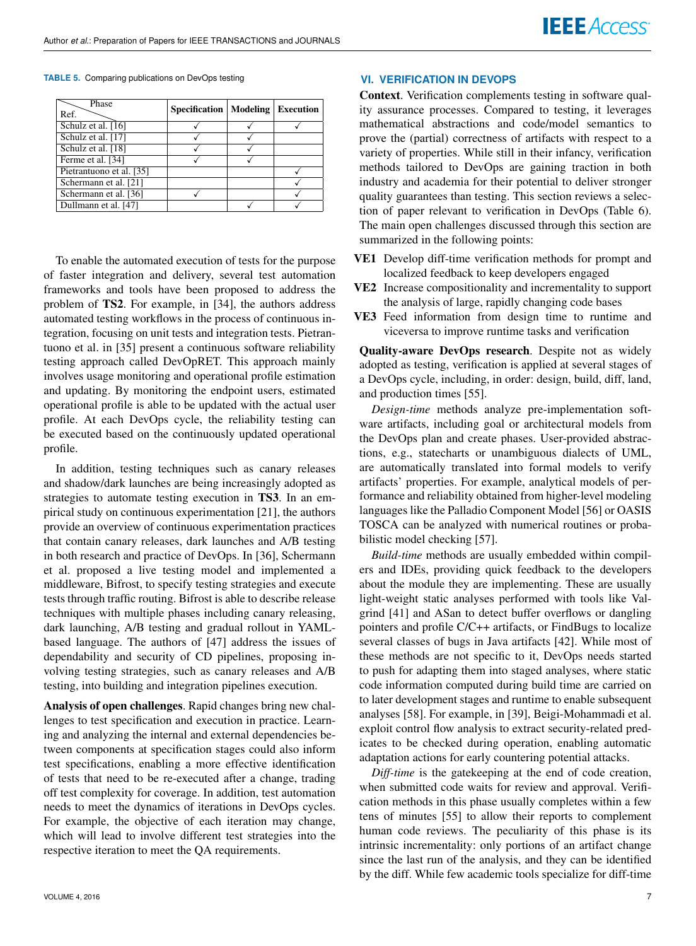**TABLE 5.** Comparing publications on DevOps testing

| Phase<br>Ref.            | <b>Specification   Modeling</b> | <b>Execution</b> |
|--------------------------|---------------------------------|------------------|
| Schulz et al. [16]       |                                 |                  |
| Schulz et al. [17]       |                                 |                  |
| Schulz et al. [18]       |                                 |                  |
| Ferme et al. [34]        |                                 |                  |
| Pietrantuono et al. [35] |                                 |                  |
| Schermann et al. [21]    |                                 |                  |
| Schermann et al. [36]    |                                 |                  |
| Dullmann et al. [47]     |                                 |                  |

To enable the automated execution of tests for the purpose of faster integration and delivery, several test automation frameworks and tools have been proposed to address the problem of TS2. For example, in [34], the authors address automated testing workflows in the process of continuous integration, focusing on unit tests and integration tests. Pietrantuono et al. in [35] present a continuous software reliability testing approach called DevOpRET. This approach mainly involves usage monitoring and operational profile estimation and updating. By monitoring the endpoint users, estimated operational profile is able to be updated with the actual user profile. At each DevOps cycle, the reliability testing can be executed based on the continuously updated operational profile.

In addition, testing techniques such as canary releases and shadow/dark launches are being increasingly adopted as strategies to automate testing execution in TS3. In an empirical study on continuous experimentation [21], the authors provide an overview of continuous experimentation practices that contain canary releases, dark launches and A/B testing in both research and practice of DevOps. In [36], Schermann et al. proposed a live testing model and implemented a middleware, Bifrost, to specify testing strategies and execute tests through traffic routing. Bifrost is able to describe release techniques with multiple phases including canary releasing, dark launching, A/B testing and gradual rollout in YAMLbased language. The authors of [47] address the issues of dependability and security of CD pipelines, proposing involving testing strategies, such as canary releases and A/B testing, into building and integration pipelines execution.

Analysis of open challenges. Rapid changes bring new challenges to test specification and execution in practice. Learning and analyzing the internal and external dependencies between components at specification stages could also inform test specifications, enabling a more effective identification of tests that need to be re-executed after a change, trading off test complexity for coverage. In addition, test automation needs to meet the dynamics of iterations in DevOps cycles. For example, the objective of each iteration may change, which will lead to involve different test strategies into the respective iteration to meet the QA requirements.

## **VI. VERIFICATION IN DEVOPS**

Context. Verification complements testing in software quality assurance processes. Compared to testing, it leverages mathematical abstractions and code/model semantics to prove the (partial) correctness of artifacts with respect to a variety of properties. While still in their infancy, verification methods tailored to DevOps are gaining traction in both industry and academia for their potential to deliver stronger quality guarantees than testing. This section reviews a selection of paper relevant to verification in DevOps (Table 6). The main open challenges discussed through this section are summarized in the following points:

- VE1 Develop diff-time verification methods for prompt and localized feedback to keep developers engaged
- VE2 Increase compositionality and incrementality to support the analysis of large, rapidly changing code bases
- VE3 Feed information from design time to runtime and viceversa to improve runtime tasks and verification

Quality-aware DevOps research. Despite not as widely adopted as testing, verification is applied at several stages of a DevOps cycle, including, in order: design, build, diff, land, and production times [55].

*Design-time* methods analyze pre-implementation software artifacts, including goal or architectural models from the DevOps plan and create phases. User-provided abstractions, e.g., statecharts or unambiguous dialects of UML, are automatically translated into formal models to verify artifacts' properties. For example, analytical models of performance and reliability obtained from higher-level modeling languages like the Palladio Component Model [56] or OASIS TOSCA can be analyzed with numerical routines or probabilistic model checking [57].

*Build-time* methods are usually embedded within compilers and IDEs, providing quick feedback to the developers about the module they are implementing. These are usually light-weight static analyses performed with tools like Valgrind [41] and ASan to detect buffer overflows or dangling pointers and profile C/C++ artifacts, or FindBugs to localize several classes of bugs in Java artifacts [42]. While most of these methods are not specific to it, DevOps needs started to push for adapting them into staged analyses, where static code information computed during build time are carried on to later development stages and runtime to enable subsequent analyses [58]. For example, in [39], Beigi-Mohammadi et al. exploit control flow analysis to extract security-related predicates to be checked during operation, enabling automatic adaptation actions for early countering potential attacks.

*Diff-time* is the gatekeeping at the end of code creation, when submitted code waits for review and approval. Verification methods in this phase usually completes within a few tens of minutes [55] to allow their reports to complement human code reviews. The peculiarity of this phase is its intrinsic incrementality: only portions of an artifact change since the last run of the analysis, and they can be identified by the diff. While few academic tools specialize for diff-time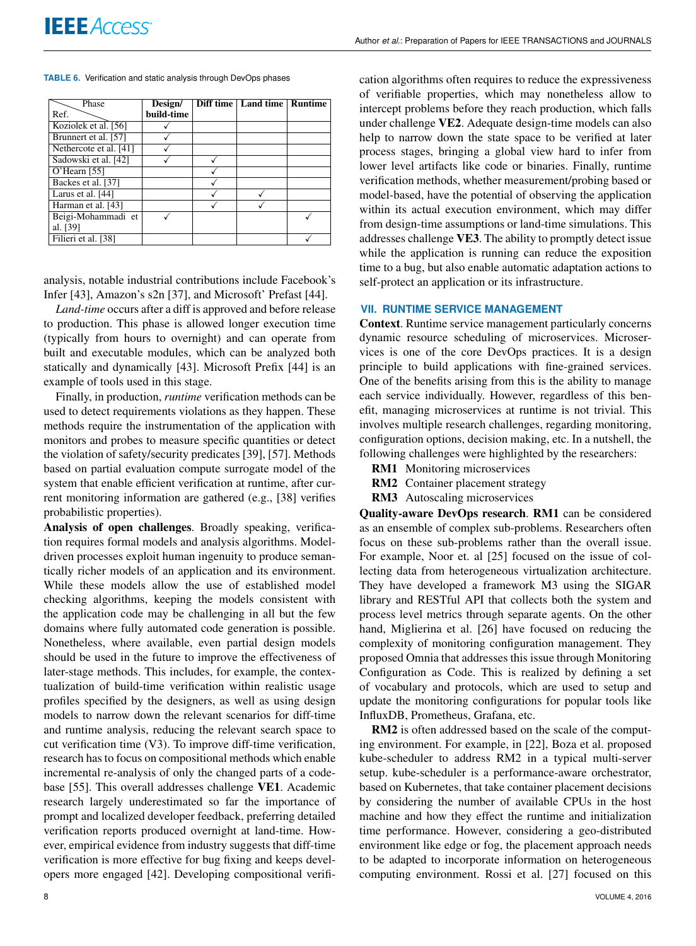#### **TABLE 6.** Verification and static analysis through DevOps phases

| Phase                  | Design/    | Diff time   Land time   Runtime |  |
|------------------------|------------|---------------------------------|--|
| Ref.                   | build-time |                                 |  |
| Koziolek et al. [56]   |            |                                 |  |
| Brunnert et al. [57]   |            |                                 |  |
| Nethercote et al. [41] |            |                                 |  |
| Sadowski et al. [42]   |            |                                 |  |
| $O'$ Hearn [55]        |            |                                 |  |
| Backes et al. [37]     |            |                                 |  |
| Larus et al. [44]      |            |                                 |  |
| Harman et al. [43]     |            |                                 |  |
| Beigi-Mohammadi et     |            |                                 |  |
| al. [39]               |            |                                 |  |
| Filieri et al. [38]    |            |                                 |  |

analysis, notable industrial contributions include Facebook's Infer [43], Amazon's s2n [37], and Microsoft' Prefast [44].

*Land-time* occurs after a diff is approved and before release to production. This phase is allowed longer execution time (typically from hours to overnight) and can operate from built and executable modules, which can be analyzed both statically and dynamically [43]. Microsoft Prefix [44] is an example of tools used in this stage.

Finally, in production, *runtime* verification methods can be used to detect requirements violations as they happen. These methods require the instrumentation of the application with monitors and probes to measure specific quantities or detect the violation of safety/security predicates [39], [57]. Methods based on partial evaluation compute surrogate model of the system that enable efficient verification at runtime, after current monitoring information are gathered (e.g., [38] verifies probabilistic properties).

Analysis of open challenges. Broadly speaking, verification requires formal models and analysis algorithms. Modeldriven processes exploit human ingenuity to produce semantically richer models of an application and its environment. While these models allow the use of established model checking algorithms, keeping the models consistent with the application code may be challenging in all but the few domains where fully automated code generation is possible. Nonetheless, where available, even partial design models should be used in the future to improve the effectiveness of later-stage methods. This includes, for example, the contextualization of build-time verification within realistic usage profiles specified by the designers, as well as using design models to narrow down the relevant scenarios for diff-time and runtime analysis, reducing the relevant search space to cut verification time (V3). To improve diff-time verification, research has to focus on compositional methods which enable incremental re-analysis of only the changed parts of a codebase [55]. This overall addresses challenge VE1. Academic research largely underestimated so far the importance of prompt and localized developer feedback, preferring detailed verification reports produced overnight at land-time. However, empirical evidence from industry suggests that diff-time verification is more effective for bug fixing and keeps developers more engaged [42]. Developing compositional verification algorithms often requires to reduce the expressiveness of verifiable properties, which may nonetheless allow to intercept problems before they reach production, which falls under challenge VE2. Adequate design-time models can also help to narrow down the state space to be verified at later process stages, bringing a global view hard to infer from lower level artifacts like code or binaries. Finally, runtime verification methods, whether measurement/probing based or model-based, have the potential of observing the application within its actual execution environment, which may differ from design-time assumptions or land-time simulations. This addresses challenge VE3. The ability to promptly detect issue while the application is running can reduce the exposition time to a bug, but also enable automatic adaptation actions to self-protect an application or its infrastructure.

## **VII. RUNTIME SERVICE MANAGEMENT**

Context. Runtime service management particularly concerns dynamic resource scheduling of microservices. Microservices is one of the core DevOps practices. It is a design principle to build applications with fine-grained services. One of the benefits arising from this is the ability to manage each service individually. However, regardless of this benefit, managing microservices at runtime is not trivial. This involves multiple research challenges, regarding monitoring, configuration options, decision making, etc. In a nutshell, the following challenges were highlighted by the researchers:

- RM1 Monitoring microservices
- RM2 Container placement strategy
- RM3 Autoscaling microservices

Quality-aware DevOps research. RM1 can be considered as an ensemble of complex sub-problems. Researchers often focus on these sub-problems rather than the overall issue. For example, Noor et. al [25] focused on the issue of collecting data from heterogeneous virtualization architecture. They have developed a framework M3 using the SIGAR library and RESTful API that collects both the system and process level metrics through separate agents. On the other hand, Miglierina et al. [26] have focused on reducing the complexity of monitoring configuration management. They proposed Omnia that addresses this issue through Monitoring Configuration as Code. This is realized by defining a set of vocabulary and protocols, which are used to setup and update the monitoring configurations for popular tools like InfluxDB, Prometheus, Grafana, etc.

RM2 is often addressed based on the scale of the computing environment. For example, in [22], Boza et al. proposed kube-scheduler to address RM2 in a typical multi-server setup. kube-scheduler is a performance-aware orchestrator, based on Kubernetes, that take container placement decisions by considering the number of available CPUs in the host machine and how they effect the runtime and initialization time performance. However, considering a geo-distributed environment like edge or fog, the placement approach needs to be adapted to incorporate information on heterogeneous computing environment. Rossi et al. [27] focused on this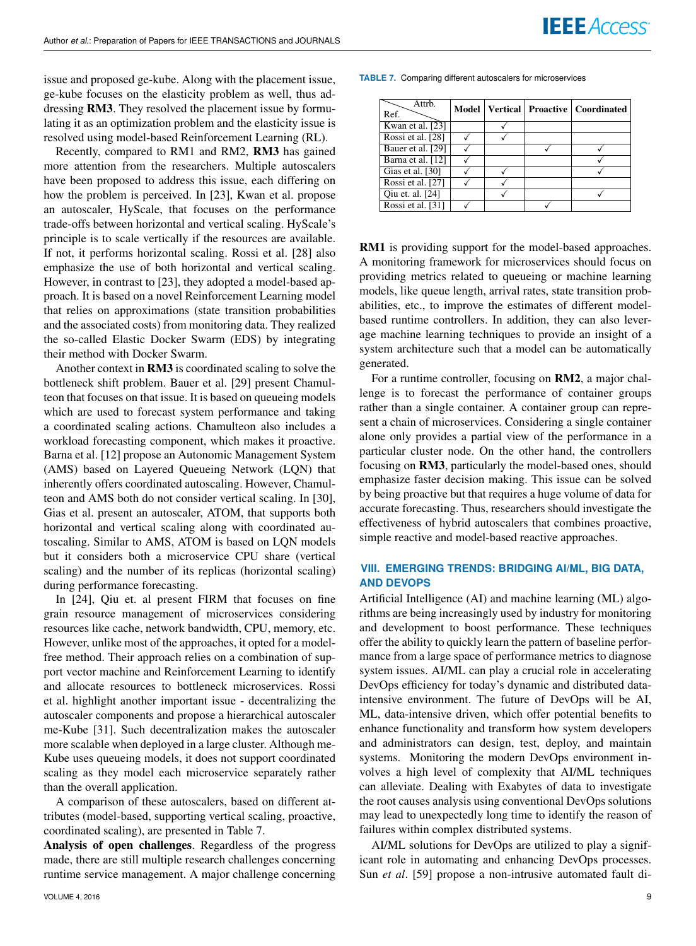issue and proposed ge-kube. Along with the placement issue, ge-kube focuses on the elasticity problem as well, thus addressing RM3. They resolved the placement issue by formulating it as an optimization problem and the elasticity issue is resolved using model-based Reinforcement Learning (RL).

Recently, compared to RM1 and RM2, RM3 has gained more attention from the researchers. Multiple autoscalers have been proposed to address this issue, each differing on how the problem is perceived. In [23], Kwan et al. propose an autoscaler, HyScale, that focuses on the performance trade-offs between horizontal and vertical scaling. HyScale's principle is to scale vertically if the resources are available. If not, it performs horizontal scaling. Rossi et al. [28] also emphasize the use of both horizontal and vertical scaling. However, in contrast to [23], they adopted a model-based approach. It is based on a novel Reinforcement Learning model that relies on approximations (state transition probabilities and the associated costs) from monitoring data. They realized the so-called Elastic Docker Swarm (EDS) by integrating their method with Docker Swarm.

Another context in RM3 is coordinated scaling to solve the bottleneck shift problem. Bauer et al. [29] present Chamulteon that focuses on that issue. It is based on queueing models which are used to forecast system performance and taking a coordinated scaling actions. Chamulteon also includes a workload forecasting component, which makes it proactive. Barna et al. [12] propose an Autonomic Management System (AMS) based on Layered Queueing Network (LQN) that inherently offers coordinated autoscaling. However, Chamulteon and AMS both do not consider vertical scaling. In [30], Gias et al. present an autoscaler, ATOM, that supports both horizontal and vertical scaling along with coordinated autoscaling. Similar to AMS, ATOM is based on LQN models but it considers both a microservice CPU share (vertical scaling) and the number of its replicas (horizontal scaling) during performance forecasting.

In [24], Qiu et. al present FIRM that focuses on fine grain resource management of microservices considering resources like cache, network bandwidth, CPU, memory, etc. However, unlike most of the approaches, it opted for a modelfree method. Their approach relies on a combination of support vector machine and Reinforcement Learning to identify and allocate resources to bottleneck microservices. Rossi et al. highlight another important issue - decentralizing the autoscaler components and propose a hierarchical autoscaler me-Kube [31]. Such decentralization makes the autoscaler more scalable when deployed in a large cluster. Although me-Kube uses queueing models, it does not support coordinated scaling as they model each microservice separately rather than the overall application.

A comparison of these autoscalers, based on different attributes (model-based, supporting vertical scaling, proactive, coordinated scaling), are presented in Table 7.

Analysis of open challenges. Regardless of the progress made, there are still multiple research challenges concerning runtime service management. A major challenge concerning **TABLE 7.** Comparing different autoscalers for microservices

| Attrb.<br>Ref.    |  | Model   Vertical   Proactive   Coordinated |
|-------------------|--|--------------------------------------------|
| Kwan et al. [23]  |  |                                            |
| Rossi et al. [28] |  |                                            |
| Bauer et al. [29] |  |                                            |
| Barna et al. [12] |  |                                            |
| Gias et al. [30]  |  |                                            |
| Rossi et al. [27] |  |                                            |
| Qiu et. al. [24]  |  |                                            |
| Rossi et al. [31] |  |                                            |

RM1 is providing support for the model-based approaches. A monitoring framework for microservices should focus on providing metrics related to queueing or machine learning models, like queue length, arrival rates, state transition probabilities, etc., to improve the estimates of different modelbased runtime controllers. In addition, they can also leverage machine learning techniques to provide an insight of a system architecture such that a model can be automatically generated.

For a runtime controller, focusing on RM2, a major challenge is to forecast the performance of container groups rather than a single container. A container group can represent a chain of microservices. Considering a single container alone only provides a partial view of the performance in a particular cluster node. On the other hand, the controllers focusing on RM3, particularly the model-based ones, should emphasize faster decision making. This issue can be solved by being proactive but that requires a huge volume of data for accurate forecasting. Thus, researchers should investigate the effectiveness of hybrid autoscalers that combines proactive, simple reactive and model-based reactive approaches.

## **VIII. EMERGING TRENDS: BRIDGING AI/ML, BIG DATA, AND DEVOPS**

Artificial Intelligence (AI) and machine learning (ML) algorithms are being increasingly used by industry for monitoring and development to boost performance. These techniques offer the ability to quickly learn the pattern of baseline performance from a large space of performance metrics to diagnose system issues. AI/ML can play a crucial role in accelerating DevOps efficiency for today's dynamic and distributed dataintensive environment. The future of DevOps will be AI, ML, data-intensive driven, which offer potential benefits to enhance functionality and transform how system developers and administrators can design, test, deploy, and maintain systems. Monitoring the modern DevOps environment involves a high level of complexity that AI/ML techniques can alleviate. Dealing with Exabytes of data to investigate the root causes analysis using conventional DevOps solutions may lead to unexpectedly long time to identify the reason of failures within complex distributed systems.

AI/ML solutions for DevOps are utilized to play a significant role in automating and enhancing DevOps processes. Sun *et al*. [59] propose a non-intrusive automated fault di-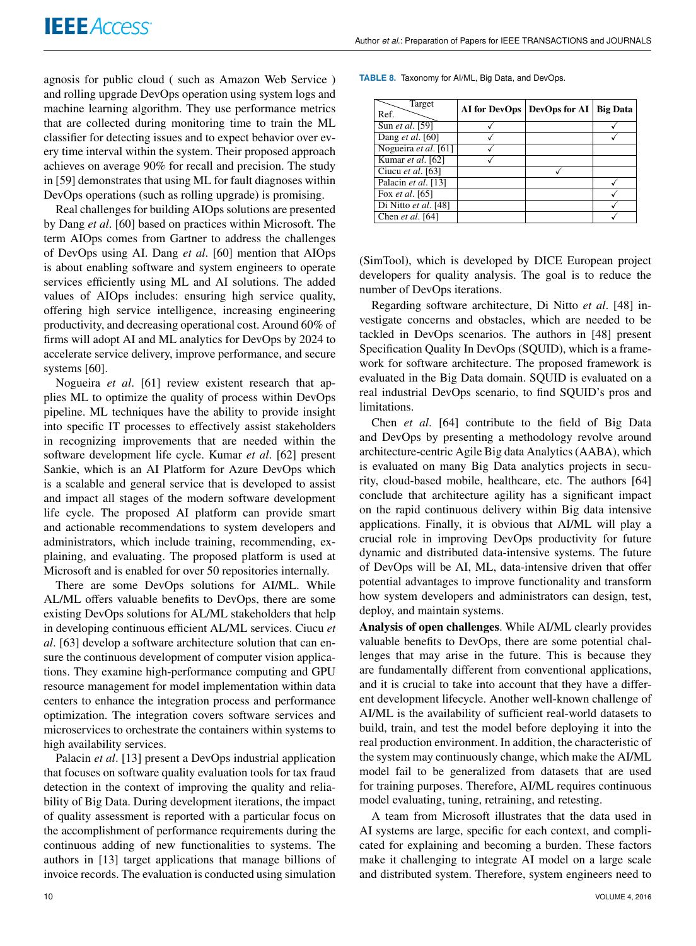agnosis for public cloud ( such as Amazon Web Service ) and rolling upgrade DevOps operation using system logs and machine learning algorithm. They use performance metrics that are collected during monitoring time to train the ML classifier for detecting issues and to expect behavior over every time interval within the system. Their proposed approach achieves on average 90% for recall and precision. The study in [59] demonstrates that using ML for fault diagnoses within DevOps operations (such as rolling upgrade) is promising.

Real challenges for building AIOps solutions are presented by Dang *et al*. [60] based on practices within Microsoft. The term AIOps comes from Gartner to address the challenges of DevOps using AI. Dang *et al*. [60] mention that AIOps is about enabling software and system engineers to operate services efficiently using ML and AI solutions. The added values of AIOps includes: ensuring high service quality, offering high service intelligence, increasing engineering productivity, and decreasing operational cost. Around 60% of firms will adopt AI and ML analytics for DevOps by 2024 to accelerate service delivery, improve performance, and secure systems [60].

Nogueira *et al*. [61] review existent research that applies ML to optimize the quality of process within DevOps pipeline. ML techniques have the ability to provide insight into specific IT processes to effectively assist stakeholders in recognizing improvements that are needed within the software development life cycle. Kumar *et al*. [62] present Sankie, which is an AI Platform for Azure DevOps which is a scalable and general service that is developed to assist and impact all stages of the modern software development life cycle. The proposed AI platform can provide smart and actionable recommendations to system developers and administrators, which include training, recommending, explaining, and evaluating. The proposed platform is used at Microsoft and is enabled for over 50 repositories internally.

There are some DevOps solutions for AI/ML. While AL/ML offers valuable benefits to DevOps, there are some existing DevOps solutions for AL/ML stakeholders that help in developing continuous efficient AL/ML services. Ciucu *et al*. [63] develop a software architecture solution that can ensure the continuous development of computer vision applications. They examine high-performance computing and GPU resource management for model implementation within data centers to enhance the integration process and performance optimization. The integration covers software services and microservices to orchestrate the containers within systems to high availability services.

Palacin *et al*. [13] present a DevOps industrial application that focuses on software quality evaluation tools for tax fraud detection in the context of improving the quality and reliability of Big Data. During development iterations, the impact of quality assessment is reported with a particular focus on the accomplishment of performance requirements during the continuous adding of new functionalities to systems. The authors in [13] target applications that manage billions of invoice records. The evaluation is conducted using simulation

| Target<br>Ref.       | AI for DevOps | DevOps for $AI$ | <b>Big Data</b> |
|----------------------|---------------|-----------------|-----------------|
| Sun et al. [59]      |               |                 |                 |
| Dang et al. $[60]$   |               |                 |                 |
| Nogueira et al. [61] |               |                 |                 |
| Kumar et al. [62]    |               |                 |                 |
| Ciucu et al. [63]    |               |                 |                 |
| Palacin et al. [13]  |               |                 |                 |
| Fox et al. [65]      |               |                 |                 |
| Di Nitto et al. [48] |               |                 |                 |
| Chen et al. [64]     |               |                 |                 |

(SimTool), which is developed by DICE European project developers for quality analysis. The goal is to reduce the number of DevOps iterations.

Regarding software architecture, Di Nitto *et al*. [48] investigate concerns and obstacles, which are needed to be tackled in DevOps scenarios. The authors in [48] present Specification Quality In DevOps (SQUID), which is a framework for software architecture. The proposed framework is evaluated in the Big Data domain. SQUID is evaluated on a real industrial DevOps scenario, to find SQUID's pros and limitations.

Chen *et al*. [64] contribute to the field of Big Data and DevOps by presenting a methodology revolve around architecture-centric Agile Big data Analytics (AABA), which is evaluated on many Big Data analytics projects in security, cloud-based mobile, healthcare, etc. The authors [64] conclude that architecture agility has a significant impact on the rapid continuous delivery within Big data intensive applications. Finally, it is obvious that AI/ML will play a crucial role in improving DevOps productivity for future dynamic and distributed data-intensive systems. The future of DevOps will be AI, ML, data-intensive driven that offer potential advantages to improve functionality and transform how system developers and administrators can design, test, deploy, and maintain systems.

Analysis of open challenges. While AI/ML clearly provides valuable benefits to DevOps, there are some potential challenges that may arise in the future. This is because they are fundamentally different from conventional applications, and it is crucial to take into account that they have a different development lifecycle. Another well-known challenge of AI/ML is the availability of sufficient real-world datasets to build, train, and test the model before deploying it into the real production environment. In addition, the characteristic of the system may continuously change, which make the AI/ML model fail to be generalized from datasets that are used for training purposes. Therefore, AI/ML requires continuous model evaluating, tuning, retraining, and retesting.

A team from Microsoft illustrates that the data used in AI systems are large, specific for each context, and complicated for explaining and becoming a burden. These factors make it challenging to integrate AI model on a large scale and distributed system. Therefore, system engineers need to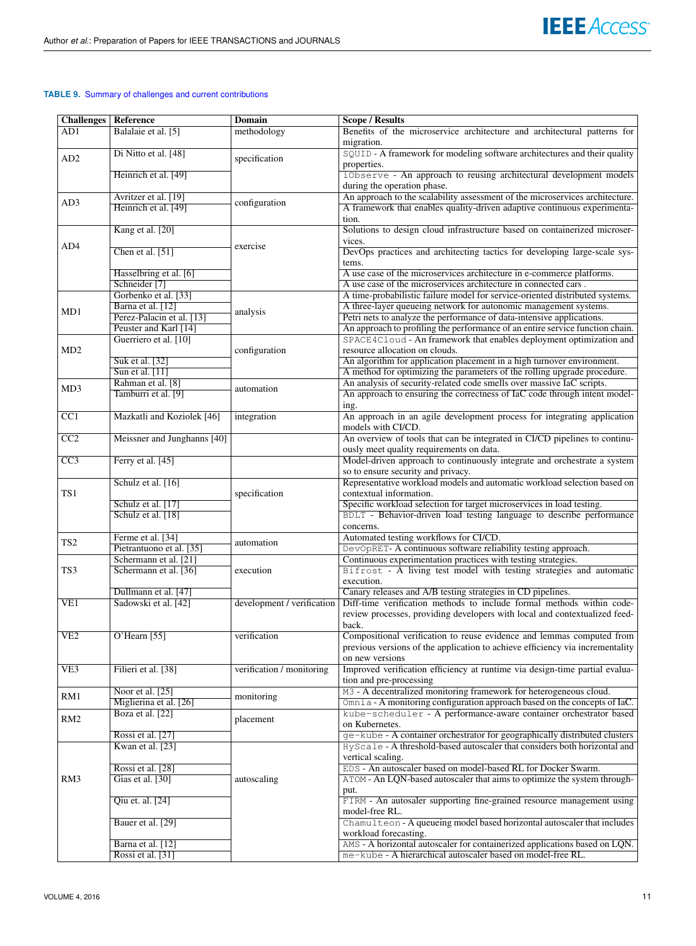## **TABLE 9.** Summary of challenges and current contributions

| <b>Challenges</b> | Reference                   | Domain                     | <b>Scope / Results</b>                                                                            |
|-------------------|-----------------------------|----------------------------|---------------------------------------------------------------------------------------------------|
| AD1               | Balalaie et al. [5]         | methodology                | Benefits of the microservice architecture and architectural patterns for<br>migration.            |
| AD <sub>2</sub>   | Di Nitto et al. [48]        | specification              | SQUID - A framework for modeling software architectures and their quality<br>properties.          |
|                   | Heinrich et al. [49]        |                            | iObserve - An approach to reusing architectural development models<br>during the operation phase. |
|                   | Avritzer et al. [19]        |                            | An approach to the scalability assessment of the microservices architecture.                      |
| AD3               | Heinrich et al. [49]        | configuration              | A framework that enables quality-driven adaptive continuous experimenta-                          |
|                   |                             |                            | tion.                                                                                             |
|                   | Kang et al. [20]            |                            | Solutions to design cloud infrastructure based on containerized microser-                         |
|                   |                             |                            | vices.                                                                                            |
| AD4               | Chen et al. [51]            | exercise                   | DevOps practices and architecting tactics for developing large-scale sys-<br>tems.                |
|                   | Hasselbring et al. [6]      |                            | A use case of the microservices architecture in e-commerce platforms.                             |
|                   | Schneider <sup>[7]</sup>    |                            | A use case of the microservices architecture in connected cars.                                   |
|                   | Gorbenko et al. [33]        |                            | A time-probabilistic failure model for service-oriented distributed systems.                      |
|                   | Barna et al. [12]           |                            | A three-layer queueing network for autonomic management systems.                                  |
| MD1               | Perez-Palacin et al. [13]   | analysis                   | Petri nets to analyze the performance of data-intensive applications.                             |
|                   | Peuster and Karl [14]       |                            | An approach to profiling the performance of an entire service function chain.                     |
|                   | Guerriero et al. [10]       |                            | SPACE4Cloud - An framework that enables deployment optimization and                               |
| MD <sub>2</sub>   |                             | configuration              | resource allocation on clouds.                                                                    |
|                   | Suk et al. [32]             |                            | An algorithm for application placement in a high turnover environment.                            |
|                   | Sun et al. [11]             |                            | A method for optimizing the parameters of the rolling upgrade procedure.                          |
|                   | Rahman et al. [8]           |                            | An analysis of security-related code smells over massive IaC scripts.                             |
| MD3               | Tamburri et al. [9]         | automation                 | An approach to ensuring the correctness of IaC code through intent model-                         |
|                   |                             |                            | ing.                                                                                              |
| CC1               | Mazkatli and Koziolek [46]  | integration                | An approach in an agile development process for integrating application                           |
|                   |                             |                            | models with CI/CD.                                                                                |
| CC2               | Meissner and Junghanns [40] |                            | An overview of tools that can be integrated in CI/CD pipelines to continu-                        |
|                   |                             |                            | ously meet quality requirements on data.                                                          |
| $\overline{CC3}$  | Ferry et al. [45]           |                            | Model-driven approach to continuously integrate and orchestrate a system                          |
|                   |                             |                            | so to ensure security and privacy.                                                                |
|                   | Schulz et al. [16]          |                            | Representative workload models and automatic workload selection based on                          |
| TS1               |                             | specification              | contextual information.                                                                           |
|                   | Schulz et al. [17]          |                            | Specific workload selection for target microservices in load testing.                             |
|                   | Schulz et al. [18]          |                            | BDLT - Behavior-driven load testing language to describe performance                              |
|                   |                             |                            | concerns.                                                                                         |
|                   | Ferme et al. [34]           |                            | Automated testing workflows for CI/CD.                                                            |
| TS <sub>2</sub>   | Pietrantuono et al. [35]    | automation                 | DevOpRET- A continuous software reliability testing approach.                                     |
|                   | Schermann et al. [21]       |                            | Continuous experimentation practices with testing strategies.                                     |
| TS3               | Schermann et al. [36]       | execution                  | Bifrost - A living test model with testing strategies and automatic                               |
|                   |                             |                            | execution.                                                                                        |
|                   | Dullmann et al. [47]        |                            | Canary releases and A/B testing strategies in CD pipelines.                                       |
| VE1               | Sadowski et al. [42]        | development / verification | Diff-time verification methods to include formal methods within code-                             |
|                   |                             |                            | review processes, providing developers with local and contextualized feed-                        |
|                   |                             |                            | back.                                                                                             |
| VE2               | $O'$ Hearn [55]             | verification               | Compositional verification to reuse evidence and lemmas computed from                             |
|                   |                             |                            | previous versions of the application to achieve efficiency via incrementality                     |
|                   |                             |                            | on new versions                                                                                   |
| VE3               | Filieri et al. [38]         | verification / monitoring  | Improved verification efficiency at runtime via design-time partial evalua-                       |
|                   |                             |                            | tion and pre-processing                                                                           |
| RM1               | Noor et al. [25]            | monitoring                 | M3 - A decentralized monitoring framework for heterogeneous cloud.                                |
|                   | Miglierina et al. [26]      |                            | Omnia - A monitoring configuration approach based on the concepts of IaC.                         |
| RM <sub>2</sub>   | Boza et al. [22]            | placement                  | kube-scheduler - A performance-aware container orchestrator based                                 |
|                   |                             |                            | on Kubernetes.                                                                                    |
|                   | Rossi et al. [27]           |                            | ge-kube - A container orchestrator for geographically distributed clusters                        |
|                   | Kwan et al. [23]            |                            | HyScale - A threshold-based autoscaler that considers both horizontal and                         |
|                   |                             |                            | vertical scaling.                                                                                 |
|                   | Rossi et al. [28]           |                            | EDS - An autoscaler based on model-based RL for Docker Swarm.                                     |
| RM3               | Gias et al. [30]            | autoscaling                | ATOM - An LQN-based autoscaler that aims to optimize the system through-                          |
|                   | Qiu et. al. [24]            |                            | put.<br>FIRM - An autosaler supporting fine-grained resource management using                     |
|                   |                             |                            | model-free RL.                                                                                    |
|                   | Bauer et al. [29]           |                            | Chamulteon - A queueing model based horizontal autoscaler that includes                           |
|                   |                             |                            | workload forecasting.                                                                             |
|                   | Barna et al. [12]           |                            | AMS - A horizontal autoscaler for containerized applications based on LQN.                        |
|                   | Rossi et al. [31]           |                            | me-kube - A hierarchical autoscaler based on model-free RL.                                       |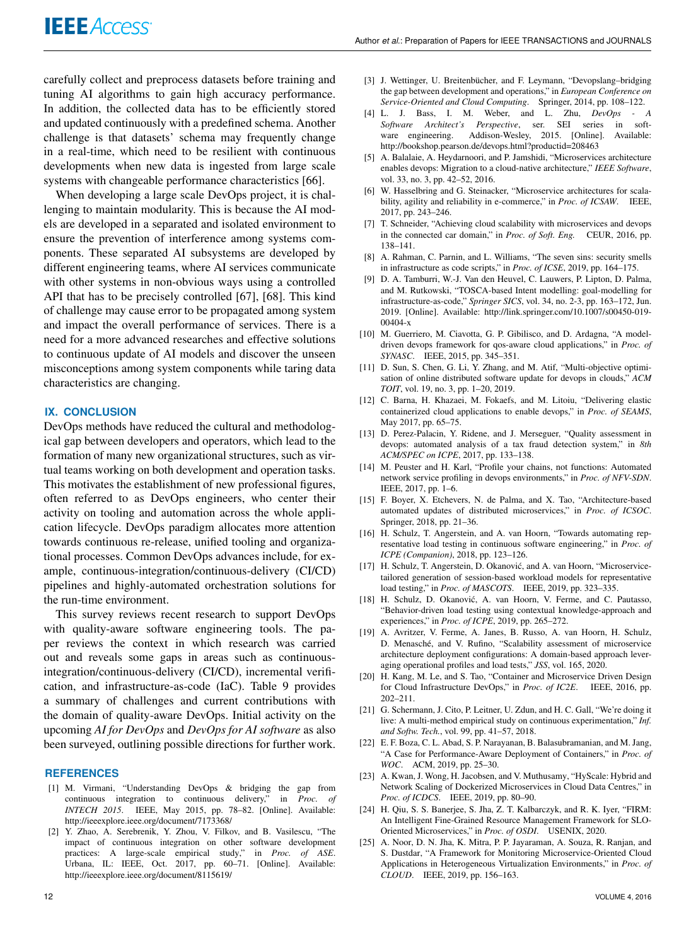carefully collect and preprocess datasets before training and tuning AI algorithms to gain high accuracy performance. In addition, the collected data has to be efficiently stored and updated continuously with a predefined schema. Another challenge is that datasets' schema may frequently change in a real-time, which need to be resilient with continuous developments when new data is ingested from large scale systems with changeable performance characteristics [66].

When developing a large scale DevOps project, it is challenging to maintain modularity. This is because the AI models are developed in a separated and isolated environment to ensure the prevention of interference among systems components. These separated AI subsystems are developed by different engineering teams, where AI services communicate with other systems in non-obvious ways using a controlled API that has to be precisely controlled [67], [68]. This kind of challenge may cause error to be propagated among system and impact the overall performance of services. There is a need for a more advanced researches and effective solutions to continuous update of AI models and discover the unseen misconceptions among system components while taring data characteristics are changing.

#### **IX. CONCLUSION**

DevOps methods have reduced the cultural and methodological gap between developers and operators, which lead to the formation of many new organizational structures, such as virtual teams working on both development and operation tasks. This motivates the establishment of new professional figures, often referred to as DevOps engineers, who center their activity on tooling and automation across the whole application lifecycle. DevOps paradigm allocates more attention towards continuous re-release, unified tooling and organizational processes. Common DevOps advances include, for example, continuous-integration/continuous-delivery (CI/CD) pipelines and highly-automated orchestration solutions for the run-time environment.

This survey reviews recent research to support DevOps with quality-aware software engineering tools. The paper reviews the context in which research was carried out and reveals some gaps in areas such as continuousintegration/continuous-delivery (CI/CD), incremental verification, and infrastructure-as-code (IaC). Table 9 provides a summary of challenges and current contributions with the domain of quality-aware DevOps. Initial activity on the upcoming *AI for DevOps* and *DevOps for AI software* as also been surveyed, outlining possible directions for further work.

#### **REFERENCES**

- [1] M. Virmani, "Understanding DevOps & bridging the gap from continuous integration to continuous delivery," in *Proc. of INTECH 2015*. IEEE, May 2015, pp. 78–82. [Online]. Available: http://ieeexplore.ieee.org/document/7173368/
- [2] Y. Zhao, A. Serebrenik, Y. Zhou, V. Filkov, and B. Vasilescu, "The impact of continuous integration on other software development practices: A large-scale empirical study," in *Proc. of ASE*. Urbana, IL: IEEE, Oct. 2017, pp. 60–71. [Online]. Available: http://ieeexplore.ieee.org/document/8115619/
- [3] J. Wettinger, U. Breitenbücher, and F. Leymann, "Devopslang–bridging the gap between development and operations," in *European Conference on Service-Oriented and Cloud Computing*. Springer, 2014, pp. 108–122.
- [4] L. J. Bass, I. M. Weber, and L. Zhu, *DevOps A Software Architect's Perspective*, ser. SEI series in software engineering. Addison-Wesley, 2015. [Online]. Available: http://bookshop.pearson.de/devops.html?productid=208463
- [5] A. Balalaie, A. Heydarnoori, and P. Jamshidi, "Microservices architecture enables devops: Migration to a cloud-native architecture," *IEEE Software*, vol. 33, no. 3, pp. 42–52, 2016.
- [6] W. Hasselbring and G. Steinacker, "Microservice architectures for scalability, agility and reliability in e-commerce," in *Proc. of ICSAW*. IEEE, 2017, pp. 243–246.
- [7] T. Schneider, "Achieving cloud scalability with microservices and devops in the connected car domain," in *Proc. of Soft. Eng.* CEUR, 2016, pp. 138–141.
- [8] A. Rahman, C. Parnin, and L. Williams, "The seven sins: security smells in infrastructure as code scripts," in *Proc. of ICSE*, 2019, pp. 164–175.
- [9] D. A. Tamburri, W.-J. Van den Heuvel, C. Lauwers, P. Lipton, D. Palma, and M. Rutkowski, "TOSCA-based Intent modelling: goal-modelling for infrastructure-as-code," *Springer SICS*, vol. 34, no. 2-3, pp. 163–172, Jun. 2019. [Online]. Available: http://link.springer.com/10.1007/s00450-019- 00404-x
- [10] M. Guerriero, M. Ciavotta, G. P. Gibilisco, and D. Ardagna, "A modeldriven devops framework for qos-aware cloud applications," in *Proc. of SYNASC*. IEEE, 2015, pp. 345–351.
- [11] D. Sun, S. Chen, G. Li, Y. Zhang, and M. Atif, "Multi-objective optimisation of online distributed software update for devops in clouds," *ACM TOIT*, vol. 19, no. 3, pp. 1–20, 2019.
- [12] C. Barna, H. Khazaei, M. Fokaefs, and M. Litoiu, "Delivering elastic containerized cloud applications to enable devops," in *Proc. of SEAMS*, May 2017, pp. 65–75.
- [13] D. Perez-Palacin, Y. Ridene, and J. Merseguer, "Quality assessment in devops: automated analysis of a tax fraud detection system," in *8th ACM/SPEC on ICPE*, 2017, pp. 133–138.
- [14] M. Peuster and H. Karl, "Profile your chains, not functions: Automated network service profiling in devops environments," in *Proc. of NFV-SDN*. IEEE, 2017, pp. 1–6.
- [15] F. Boyer, X. Etchevers, N. de Palma, and X. Tao, "Architecture-based automated updates of distributed microservices," in *Proc. of ICSOC*. Springer, 2018, pp. 21–36.
- [16] H. Schulz, T. Angerstein, and A. van Hoorn, "Towards automating representative load testing in continuous software engineering," in *Proc. of ICPE (Companion)*, 2018, pp. 123–126.
- [17] H. Schulz, T. Angerstein, D. Okanović, and A. van Hoorn, "Microservicetailored generation of session-based workload models for representative load testing," in *Proc. of MASCOTS*. IEEE, 2019, pp. 323–335.
- [18] H. Schulz, D. Okanović, A. van Hoorn, V. Ferme, and C. Pautasso, "Behavior-driven load testing using contextual knowledge-approach and experiences," in *Proc. of ICPE*, 2019, pp. 265–272.
- [19] A. Avritzer, V. Ferme, A. Janes, B. Russo, A. van Hoorn, H. Schulz, D. Menasché, and V. Rufino, "Scalability assessment of microservice architecture deployment configurations: A domain-based approach leveraging operational profiles and load tests," *JSS*, vol. 165, 2020.
- [20] H. Kang, M. Le, and S. Tao, "Container and Microservice Driven Design for Cloud Infrastructure DevOps," in *Proc. of IC2E*. IEEE, 2016, pp. 202–211.
- [21] G. Schermann, J. Cito, P. Leitner, U. Zdun, and H. C. Gall, "We're doing it live: A multi-method empirical study on continuous experimentation," *Inf. and Softw. Tech.*, vol. 99, pp. 41–57, 2018.
- [22] E. F. Boza, C. L. Abad, S. P. Narayanan, B. Balasubramanian, and M. Jang, "A Case for Performance-Aware Deployment of Containers," in *Proc. of WOC*. ACM, 2019, pp. 25–30.
- [23] A. Kwan, J. Wong, H. Jacobsen, and V. Muthusamy, "HyScale: Hybrid and Network Scaling of Dockerized Microservices in Cloud Data Centres," in *Proc. of ICDCS*. IEEE, 2019, pp. 80–90.
- [24] H. Qiu, S. S. Banerjee, S. Jha, Z. T. Kalbarczyk, and R. K. Iyer, "FIRM: An Intelligent Fine-Grained Resource Management Framework for SLO-Oriented Microservices," in *Proc. of OSDI*. USENIX, 2020.
- [25] A. Noor, D. N. Jha, K. Mitra, P. P. Jayaraman, A. Souza, R. Ranjan, and S. Dustdar, "A Framework for Monitoring Microservice-Oriented Cloud Applications in Heterogeneous Virtualization Environments," in *Proc. of CLOUD*. IEEE, 2019, pp. 156–163.